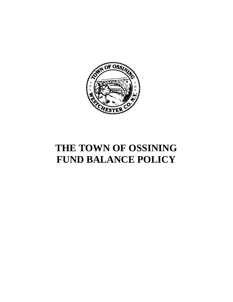

## **THE TOWN OF OSSINING FUND BALANCE POLICY**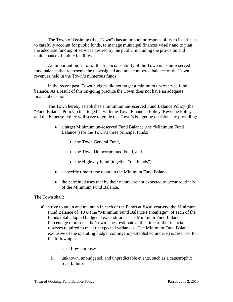The Town of Ossining (the "Town") has an important responsibility to its citizens to carefully account for public funds, to manage municipal finances wisely and to plan the adequate funding of services desired by the public, including the provision and maintenance of public facilities.

An important indicator of the financial stability of the Town is its un-reserved fund balance that represents the un-assigned and unencumbered balance of the Town's revenues held in the Town's numerous funds.

In the recent past, Town budgets did not target a minimum un-reserved fund balance. As a result of this on-going practice the Town does not have an adequate financial cushion.

The Town hereby establishes a minimum un-reserved Fund Balance Policy (the "Fund Balance Policy") that together with the Town Financial Policy, Revenue Policy and the Expense Policy will serve to guide the Town's budgeting decisions by providing:

- a target Minimum un-reserved Fund Balance (the "Minimum Fund" Balance") for the Town's three principal funds:
	- o the Town General Fund,
	- o the Town Unincorporated Fund, and
	- o the Highway Fund (together "the Funds"),
- a specific time frame to attain the Minimum Fund Balance,
- the permitted uses that by their nature are not expected to occur routinely of the Minimum Fund Balance.

The Town shall:

- a) strive to attain and maintain in each of the Funds at fiscal year-end the Minimum Fund Balance of 10% (the "Minimum Fund Balance Percentage") of each of the Funds total adopted budgeted expenditures. The Minimum Fund Balance Percentage represents the Town's best estimate at this time of the financial reserves required to meet unexpected variances. The Minimum Fund Balance exclusive of the operating budget contingency established under e) is reserved for the following uses:
	- i. cash flow purposes;
	- ii. unknown, unbudgeted, and unpredictable events, such as a catastrophic road failure;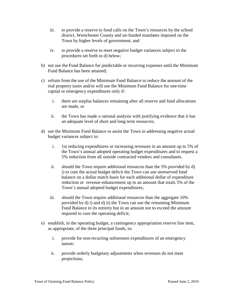- iii. to provide a reserve to fund calls on the Town's resources by the school district, Westchester County and un-funded mandates imposed on the Town by higher levels of government; and
- iv. to provide a reserve to meet negative budget variances subject to the procedures set forth in d) below;
- b) not use the Fund Balance for predictable or recurring expenses until the Minimum Fund Balance has been attained;
- c) refrain from the use of the Minimum Fund Balance to reduce the amount of the real property taxes and/or will use the Minimum Fund Balance for one-time capital or emergency expenditures only if:
	- i. there are surplus balances remaining after all reserve and fund allocations are made, or
	- ii. the Town has made a rational analysis with justifying evidence that it has an adequate level of short and long term resources;
- d) use the Minimum Fund Balance to assist the Town in addressing negative actual budget variances subject to:
	- i. 1st reducing expenditures or increasing revenues in an amount up to 5% of the Town's annual adopted operating budget expenditures and to request a 5% reduction from all outside contracted vendors and consultants.
	- ii. should the Town require additional resources than the 5% provided by d) i) to cure the actual budget deficit the Town can use unreserved fund balance on a dollar match basis for each additional dollar of expenditure reduction or revenue enhancement up to an amount that totals 5% of the Town's annual adopted budget expenditures;
	- iii. should the Town require additional resources than the aggregate 10% provided by d) i) and d) ii) the Town can use the remaining Minimum Fund Balance in its entirety but in an amount not to exceed the amount required to cure the operating deficit;
- e) establish, in the operating budget, a contingency appropriation reserve line item, as appropriate, of the three principal funds, to:
	- i. provide for non-recurring unforeseen expenditures of an emergency nature;
	- ii. provide orderly budgetary adjustments when revenues do not meet projections;